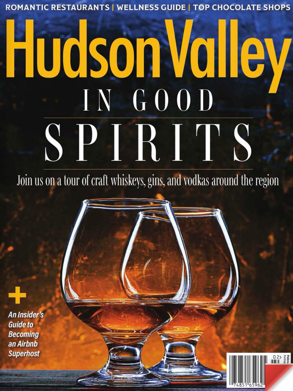**ROMANTIC RESTAURANTS | WELLNESS GUIDE | TOP CHOCOLATE SHOPS** 

# Hudson Valley IN GOOD SPIRITS

Join us on a tour of craft whiskeys, gins, and vodkas around the region

 $02$   $\frac{2}{3}$ 

An Insider's **Guide to Becoming** an Airbnb **Superhost**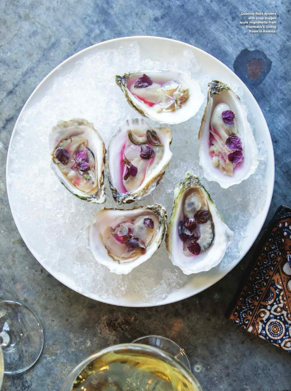Quonnie Rock oysters<br>with snap dragon<br>apple mignonette from<br>Troutbeck's Dining<br>Room in Amenia.

G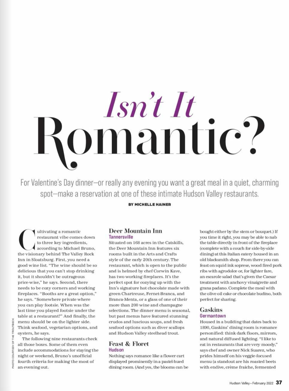# Isn't It<br>somantic?

For Valentine's Day dinner-or really any evening you want a great meal in a quiet, charming spot-make a reservation at one of these intimate Hudson Valley restaurants.

BY MICHELLE HAINER

ultivating a romantic restaurant vibe comes down to three key ingredients, according to Michael Bruno, the visionary behind The Valley Rock Inn in Sloatsburg. First, you need a good wine list. "The wine should be so delicious that you can't stop drinking it, but it shouldn't be outrageous price-wise," he says. Second, there needs to be cozy corners and working fireplaces. "Booths are a great option," he says. "Somewhere private where you can play footsie. When was the last time you played footsie under the table at a restaurant?" And finally, the menu should be on the lighter side. Think seafood, vegetarian options, and oysters, he says.

# **Deer Mountain Inn** Tannersville

Situated on 168 acres in the Catskills. the Deer Mountain Inn features six rooms built in the Arts and Crafts style of the early 20th century. The restaurant, which is open to the public and is helmed by chef Corwin Kave, has two working fireplaces. It's the perfect spot for cozying up with the Inn's signature hot chocolate made with green Chartreuse, Fernet-Branca, and Branca-Menta, or a glass of one of their more than 200 wine and champagne selections. The dinner menu is seasonal, but past menus have featured stunning crudos and luscious soups, and fresh seafood options such as diver scallops and Hudson Valley steelhead trout.

### **Feast & Floret Hudson**

Nothing says romance like a flower cart displayed prominently in a pastel-hued dining room. (And yes, the blooms can be bought either by the stem or bouquet.) If you time it right, you may be able to nab the table directly in front of the fireplace (complete with a couch for side-by-side dining) at this Italian eatery housed in an old blacksmith shop. From there you can feast on squid ink soprese, wood fired pork ribs with agrodolce or, for lighter fare, an escarole salad that's given the Caesar treatment with anchovy vinaigrette and grana padano. Complete the meal with the olive oil cake or chocolate budino, both perfect for sharing.

# Gaskins Germantown

Housed in a building that dates back to 1890, Gaskins' dining room is romance personified: think dark floors, mirrors, and natural diffused lighting. "I like to eat in restaurants that are very moody," says chef and owner Nick Suarez, who prides himself on his veggie-focused menu (a standout are his roasted beets with endive, crème fraiche, fermented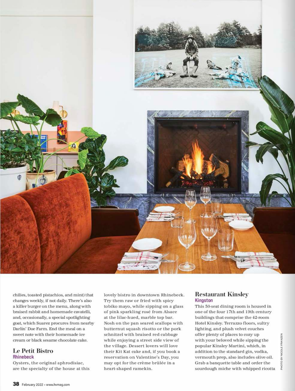

chilies, toasted pistachios, and mint) that changes weekly, if not daily. There's also a killer burger on the menu, along with braised rabbit and homemade cavatelli, and, occasionally, a special spotlighting goat, which Suarez procures from nearby Darlin' Doe Farm. End the meal on a sweet note with their homemade ice cream or black sesame chocolate cake.

## **Le Petit Bistro Rhineheck**

Oysters, the original aphrodisiac, are the specialty of the house at this

lovely bistro in downtown Rhinebeck. Try them raw or fried with spicy tobiko mayo, while sipping on a glass of pink sparkling rosé from Alsace at the lilac-hued, marble top bar. Nosh on the pan seared scallops with butternut squash risotto or the pork schnitzel with braised red cabbage while enjoying a street side view of the village. Dessert lovers will love their Kit Kat cake and, if you book a reservation on Valentine's Day, you may opt for the crème brûlée in a heart-shaped ramekin.

# **Restaurant Kinsley Kingston**

This 50-seat dining room is housed in one of the four 17th and 19th century buildings that comprise the 42-room Hotel Kinsley. Terrazzo floors, sultry lighting, and plush velvet couches offer plenty of places to cozy up with your beloved while sipping the popular Kinsley Martini, which, in addition to the standard gin, vodka, vermouth prep, also includes olive oil. Grab a banquette table and order the sourdough miche with whipped ricotta